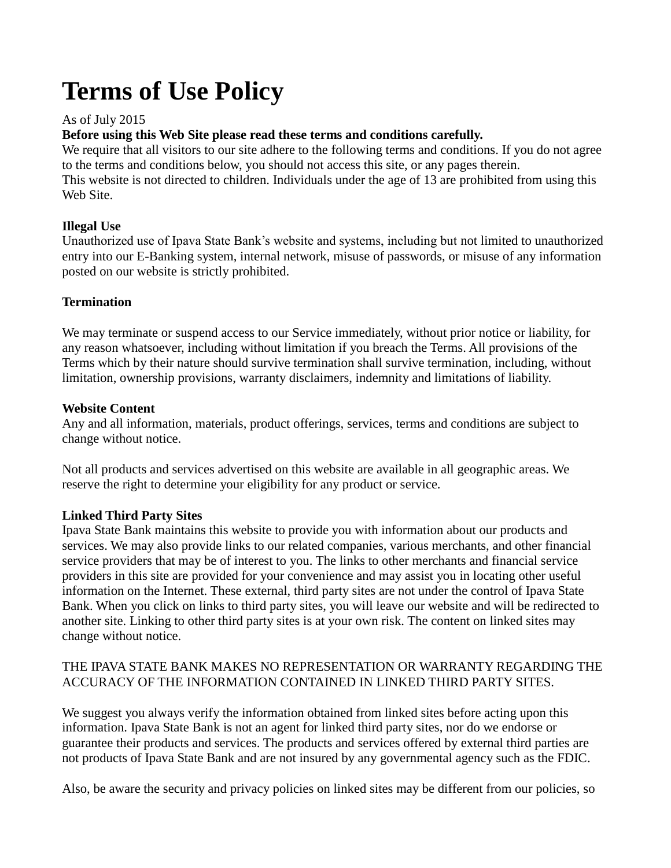# **Terms of Use Policy**

# As of July 2015

## **Before using this Web Site please read these terms and conditions carefully.**

We require that all visitors to our site adhere to the following terms and conditions. If you do not agree to the terms and conditions below, you should not access this site, or any pages therein. This website is not directed to children. Individuals under the age of 13 are prohibited from using this Web Site.

# **Illegal Use**

Unauthorized use of Ipava State Bank's website and systems, including but not limited to unauthorized entry into our E-Banking system, internal network, misuse of passwords, or misuse of any information posted on our website is strictly prohibited.

## **Termination**

We may terminate or suspend access to our Service immediately, without prior notice or liability, for any reason whatsoever, including without limitation if you breach the Terms. All provisions of the Terms which by their nature should survive termination shall survive termination, including, without limitation, ownership provisions, warranty disclaimers, indemnity and limitations of liability.

## **Website Content**

Any and all information, materials, product offerings, services, terms and conditions are subject to change without notice.

Not all products and services advertised on this website are available in all geographic areas. We reserve the right to determine your eligibility for any product or service.

## **Linked Third Party Sites**

Ipava State Bank maintains this website to provide you with information about our products and services. We may also provide links to our related companies, various merchants, and other financial service providers that may be of interest to you. The links to other merchants and financial service providers in this site are provided for your convenience and may assist you in locating other useful information on the Internet. These external, third party sites are not under the control of Ipava State Bank. When you click on links to third party sites, you will leave our website and will be redirected to another site. Linking to other third party sites is at your own risk. The content on linked sites may change without notice.

## THE IPAVA STATE BANK MAKES NO REPRESENTATION OR WARRANTY REGARDING THE ACCURACY OF THE INFORMATION CONTAINED IN LINKED THIRD PARTY SITES.

We suggest you always verify the information obtained from linked sites before acting upon this information. Ipava State Bank is not an agent for linked third party sites, nor do we endorse or guarantee their products and services. The products and services offered by external third parties are not products of Ipava State Bank and are not insured by any governmental agency such as the FDIC.

Also, be aware the security and privacy policies on linked sites may be different from our policies, so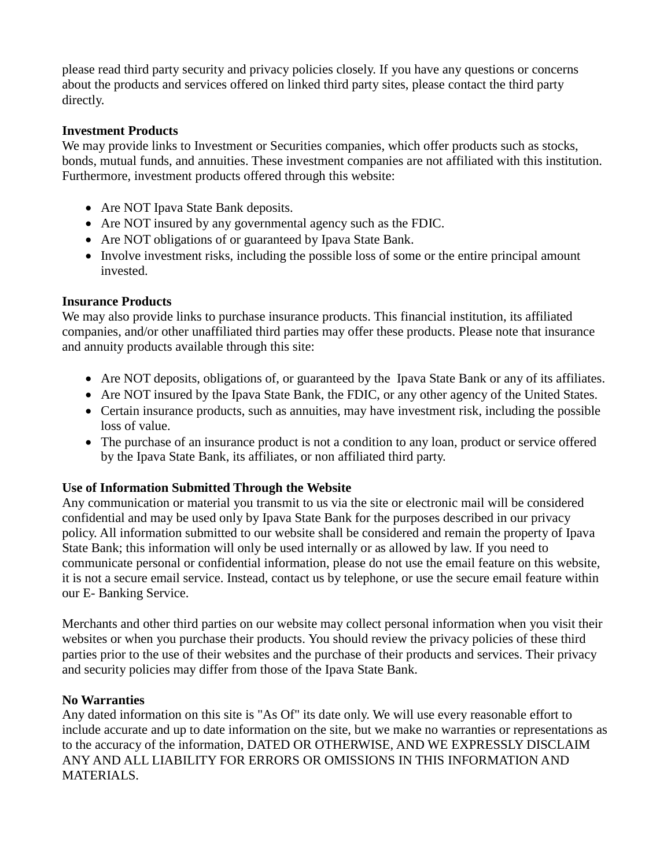please read third party security and privacy policies closely. If you have any questions or concerns about the products and services offered on linked third party sites, please contact the third party directly.

#### **Investment Products**

We may provide links to Investment or Securities companies, which offer products such as stocks, bonds, mutual funds, and annuities. These investment companies are not affiliated with this institution. Furthermore, investment products offered through this website:

- Are NOT Ipava State Bank deposits.
- Are NOT insured by any governmental agency such as the FDIC.
- Are NOT obligations of or guaranteed by Ipava State Bank.
- Involve investment risks, including the possible loss of some or the entire principal amount invested.

## **Insurance Products**

We may also provide links to purchase insurance products. This financial institution, its affiliated companies, and/or other unaffiliated third parties may offer these products. Please note that insurance and annuity products available through this site:

- Are NOT deposits, obligations of, or guaranteed by the Ipava State Bank or any of its affiliates.
- Are NOT insured by the Ipava State Bank, the FDIC, or any other agency of the United States.
- Certain insurance products, such as annuities, may have investment risk, including the possible loss of value.
- The purchase of an insurance product is not a condition to any loan, product or service offered by the Ipava State Bank, its affiliates, or non affiliated third party.

## **Use of Information Submitted Through the Website**

Any communication or material you transmit to us via the site or electronic mail will be considered confidential and may be used only by Ipava State Bank for the purposes described in our privacy policy. All information submitted to our website shall be considered and remain the property of Ipava State Bank; this information will only be used internally or as allowed by law. If you need to communicate personal or confidential information, please do not use the email feature on this website, it is not a secure email service. Instead, contact us by telephone, or use the secure email feature within our E- Banking Service.

Merchants and other third parties on our website may collect personal information when you visit their websites or when you purchase their products. You should review the privacy policies of these third parties prior to the use of their websites and the purchase of their products and services. Their privacy and security policies may differ from those of the Ipava State Bank.

## **No Warranties**

Any dated information on this site is "As Of" its date only. We will use every reasonable effort to include accurate and up to date information on the site, but we make no warranties or representations as to the accuracy of the information, DATED OR OTHERWISE, AND WE EXPRESSLY DISCLAIM ANY AND ALL LIABILITY FOR ERRORS OR OMISSIONS IN THIS INFORMATION AND MATERIALS.